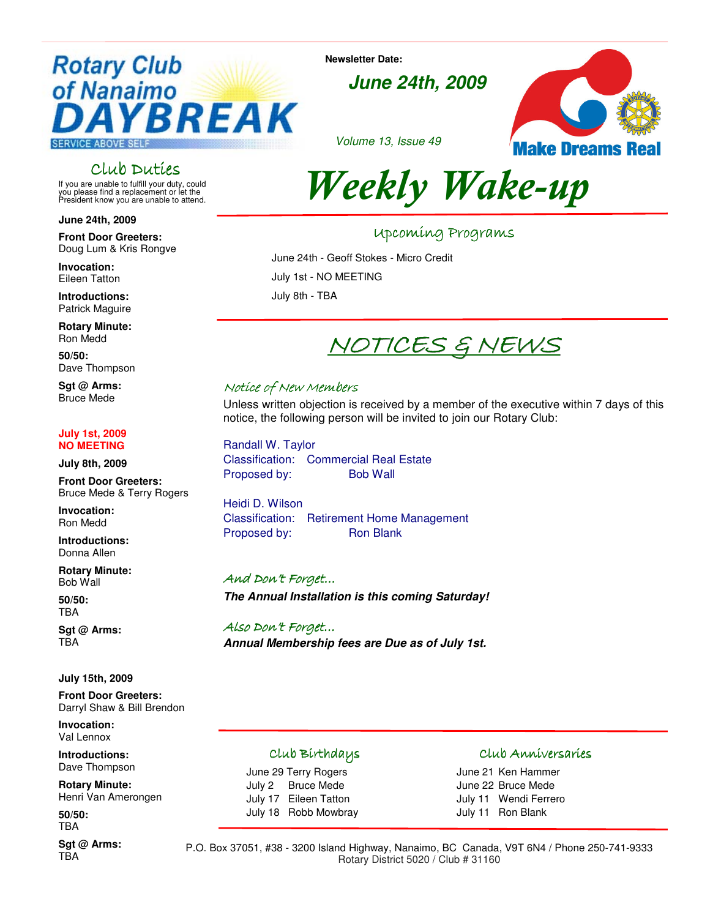## **Rotary Club** of Nanaimo **BREAK SERVICE ABOVE SELI**

### Club Duties

If you are unable to fulfill your duty, could you please find a replacement or let the President know you are unable to attend.

**June 24th, 2009** 

**Front Door Greeters:**  Doug Lum & Kris Rongve

**Invocation:**  Eileen Tatton

**Introductions:** Patrick Maguire

**Rotary Minute:** Ron Medd

**50/50:** Dave Thompson

**Sgt @ Arms:**  Bruce Mede

#### **July 1st, 2009 NO MEETING**

**July 8th, 2009** 

**Front Door Greeters:**  Bruce Mede & Terry Rogers

**Invocation:**  Ron Medd

**Introductions:** Donna Allen

**Rotary Minute:** Bob Wall

**50/50:** TBA

**Sgt @ Arms:** TBA

**July 15th, 2009** 

**Front Door Greeters:**  Darryl Shaw & Bill Brendon

**Invocation:**  Val Lennox

**Introductions:** Dave Thompson

**Rotary Minute:** Henri Van Amerongen

**50/50:** TBA

**Sgt @ Arms:** TBA

**Newsletter Date:** 

**June 24th, 2009**





# Weekly Wake-up

### Upcoming Programs Programs

June 24th - Geoff Stokes - Micro Credit

July 1st - NO MEETING

July 8th - TBA

## NOTICES & NEWS

### Notice of New Members

Unless written objection is received by a member of the executive within 7 days of this notice, the following person will be invited to join our Rotary Club:

Randall W. Taylor Classification: Commercial Real Estate Proposed by: Bob Wall

Heidi D. Wilson Classification: Retirement Home Management Proposed by: Ron Blank

#### And Don't Forget...

**The Annual Installation is this coming Saturday!** 

Also Don't Forget… Also **Annual Membership fees are Due as of July 1st.** 

### Club Birthdays Birthdays

June 29 Terry Rogers July 2 Bruce Mede July 17 Eileen Tatton July 18 Robb Mowbray

#### Club Anniversaries

June 21 Ken Hammer June 22 Bruce Mede July 11 Wendi Ferrero July 11 Ron Blank

P.O. Box 37051, #38 - 3200 Island Highway, Nanaimo, BC Canada, V9T 6N4 / Phone 250-741-9333 Rotary District 5020 / Club # 31160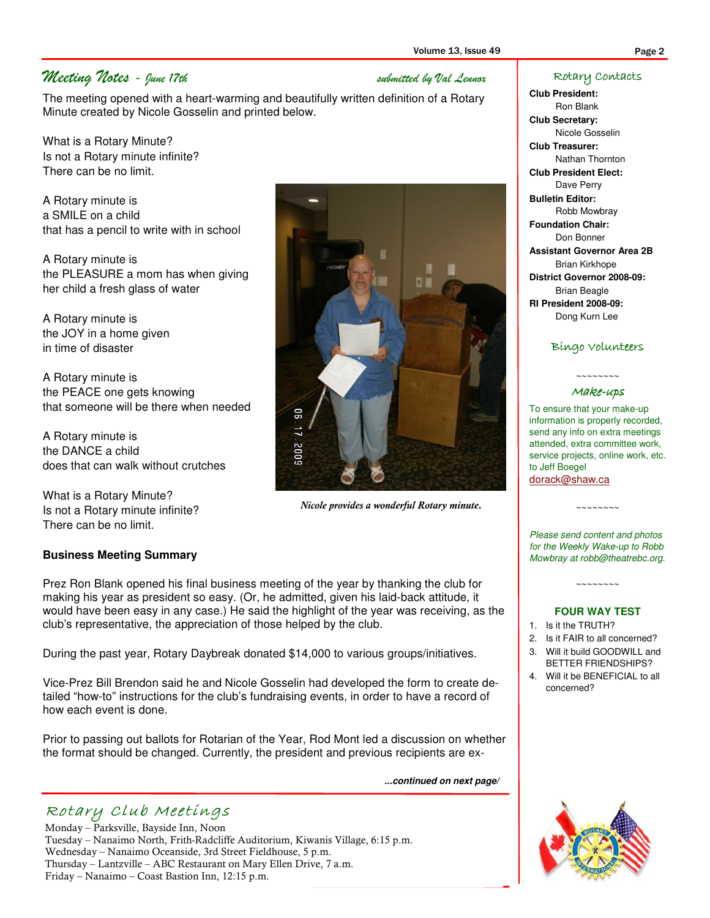### Meeting Notes - June 17th submitted by Val Lennox

The meeting opened with a heart-warming and beautifully written definition of a Rotary Minute created by Nicole Gosselin and printed below.

What is a Rotary Minute? Is not a Rotary minute infinite? There can be no limit.

A Rotary minute is a SMILE on a child that has a pencil to write with in school

A Rotary minute is the PLEASURE a mom has when giving her child a fresh glass of water

A Rotary minute is the JOY in a home given in time of disaster

A Rotary minute is the PEACE one gets knowing that someone will be there when needed

A Rotary minute is the DANCE a child does that can walk without crutches

What is a Rotary Minute? Is not a Rotary minute infinite? There can be no limit.

### **Business Meeting Summary**

Prez Ron Blank opened his final business meeting of the year by thanking the club for making his year as president so easy. (Or, he admitted, given his laid-back attitude, it would have been easy in any case.) He said the highlight of the year was receiving, as the club's representative, the appreciation of those helped by the club.

During the past year, Rotary Daybreak donated \$14,000 to various groups/initiatives.

Vice-Prez Bill Brendon said he and Nicole Gosselin had developed the form to create detailed "how-to" instructions for the club's fundraising events, in order to have a record of how each event is done.

Prior to passing out ballots for Rotarian of the Year, Rod Mont led a discussion on whether the format should be changed. Currently, the president and previous recipients are ex-

**...continued on next page/** 

## Rotary Club Meetings

Monday – Parksville, Bayside Inn, Noon Tuesday – Nanaimo North, Frith-Radcliffe Auditorium, Kiwanis Village, 6:15 p.m. Wednesday – Nanaimo Oceanside, 3rd Street Fieldhouse, 5 p.m. Thursday – Lantzville – ABC Restaurant on Mary Ellen Drive, 7 a.m. Friday – Nanaimo – Coast Bastion Inn, 12:15 p.m.

Nicole Gosselin **Club Treasurer:**  Nathan Thornton **Club President Elect:**  Dave Perry

**Bulletin Editor:**  Robb Mowbray

**Club President:**  Ron Blank **Club Secretary:** 

**Foundation Chair:**  Don Bonner **Assistant Governor Area 2B**  Brian Kirkhope **District Governor 2008-09:**  Brian Beagle **RI President 2008-09:**  Dong Kurn Lee

Rotary Contacts

#### Bingo Volunteers

#### $\sim\sim\sim\sim\sim\sim\sim$ Make-ups

To ensure that your make-up information is properly recorded, send any info on extra meetings attended, extra committee work, service projects, online work, etc. to Jeff Boegel dorack@shaw.ca

Please send content and photos for the Weekly Wake-up to Robb Mowbray at robb@theatrebc.org.

 $\sim\sim\sim\sim\sim\sim\sim\sim$ 

~~~~~~~~

#### **FOUR WAY TEST**

- 1. Is it the TRUTH?
- 2. Is it FAIR to all concerned?
- 3. Will it build GOODWILL and BETTER FRIENDSHIPS?
- 4. Will it be BENEFICIAL to all concerned?





Nicole provides a wonderful Rotary minute.